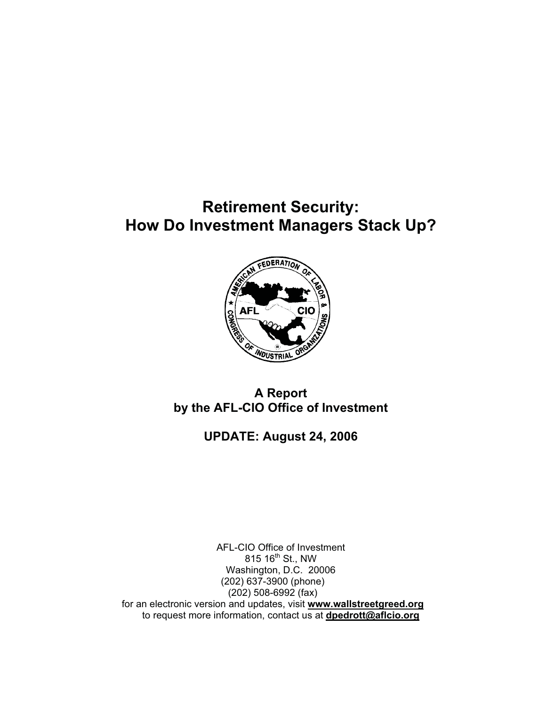## **Retirement Security: How Do Investment Managers Stack Up?**



### **A Report by the AFL-CIO Office of Investment**

### **UPDATE: August 24, 2006**

AFL-CIO Office of Investment 815 16<sup>th</sup> St., NW Washington, D.C. 20006 (202) 637-3900 (phone) (202) 508-6992 (fax) for an electronic version and updates, visit **www.wallstreetgreed.org** to request more information, contact us at **dpedrott@aflcio.org**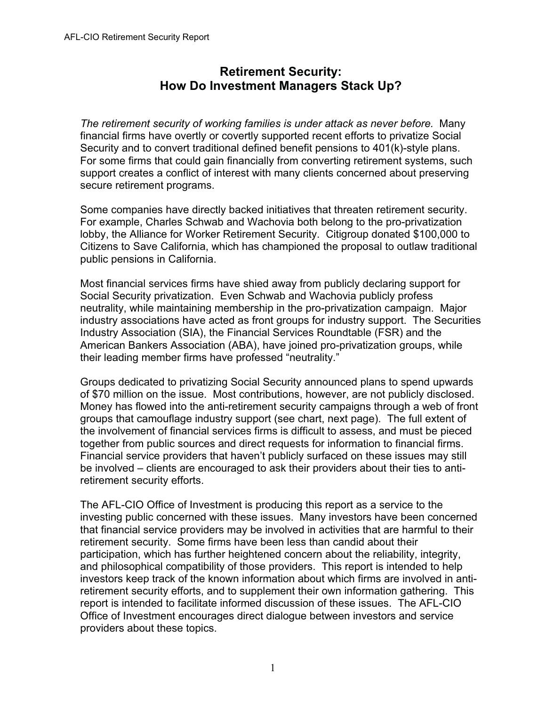### **Retirement Security: How Do Investment Managers Stack Up?**

*The retirement security of working families is under attack as never before.* Many financial firms have overtly or covertly supported recent efforts to privatize Social Security and to convert traditional defined benefit pensions to 401(k)-style plans. For some firms that could gain financially from converting retirement systems, such support creates a conflict of interest with many clients concerned about preserving secure retirement programs.

Some companies have directly backed initiatives that threaten retirement security. For example, Charles Schwab and Wachovia both belong to the pro-privatization lobby, the Alliance for Worker Retirement Security. Citigroup donated \$100,000 to Citizens to Save California, which has championed the proposal to outlaw traditional public pensions in California.

Most financial services firms have shied away from publicly declaring support for Social Security privatization. Even Schwab and Wachovia publicly profess neutrality, while maintaining membership in the pro-privatization campaign. Major industry associations have acted as front groups for industry support. The Securities Industry Association (SIA), the Financial Services Roundtable (FSR) and the American Bankers Association (ABA), have joined pro-privatization groups, while their leading member firms have professed "neutrality."

Groups dedicated to privatizing Social Security announced plans to spend upwards of \$70 million on the issue. Most contributions, however, are not publicly disclosed. Money has flowed into the anti-retirement security campaigns through a web of front groups that camouflage industry support (see chart, next page). The full extent of the involvement of financial services firms is difficult to assess, and must be pieced together from public sources and direct requests for information to financial firms. Financial service providers that haven't publicly surfaced on these issues may still be involved – clients are encouraged to ask their providers about their ties to antiretirement security efforts.

The AFL-CIO Office of Investment is producing this report as a service to the investing public concerned with these issues. Many investors have been concerned that financial service providers may be involved in activities that are harmful to their retirement security. Some firms have been less than candid about their participation, which has further heightened concern about the reliability, integrity, and philosophical compatibility of those providers. This report is intended to help investors keep track of the known information about which firms are involved in antiretirement security efforts, and to supplement their own information gathering. This report is intended to facilitate informed discussion of these issues. The AFL-CIO Office of Investment encourages direct dialogue between investors and service providers about these topics.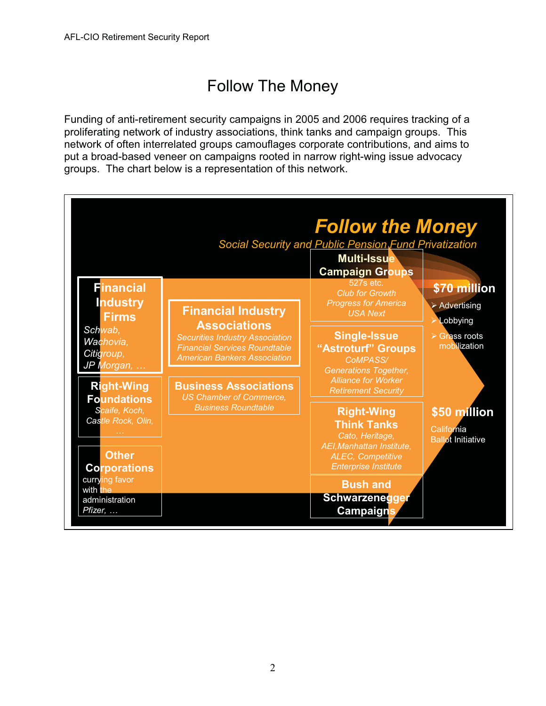# Follow The Money

Funding of anti-retirement security campaigns in 2005 and 2006 requires tracking of a proliferating network of industry associations, think tanks and campaign groups. This network of often interrelated groups camouflages corporate contributions, and aims to put a broad-based veneer on campaigns rooted in narrow right-wing issue advocacy groups. The chart below is a representation of this network.

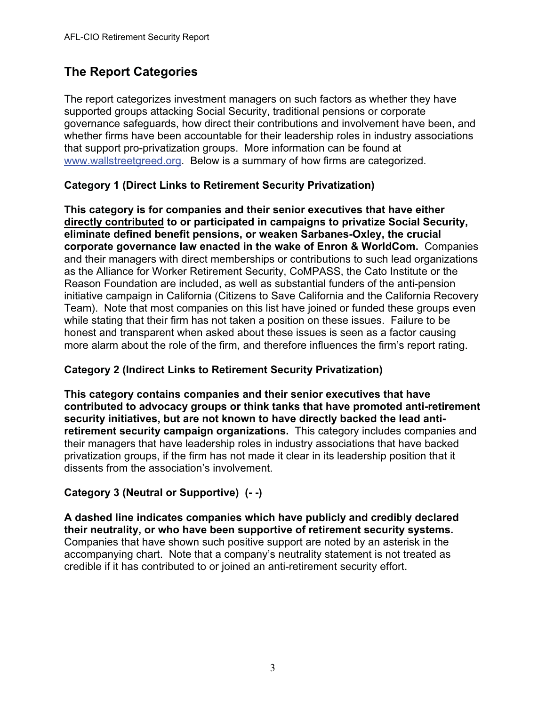### **The Report Categories**

The report categorizes investment managers on such factors as whether they have supported groups attacking Social Security, traditional pensions or corporate governance safeguards, how direct their contributions and involvement have been, and whether firms have been accountable for their leadership roles in industry associations that support pro-privatization groups. More information can be found at www.wallstreetgreed.org. Below is a summary of how firms are categorized.

#### **Category 1 (Direct Links to Retirement Security Privatization)**

**This category is for companies and their senior executives that have either directly contributed to or participated in campaigns to privatize Social Security, eliminate defined benefit pensions, or weaken Sarbanes-Oxley, the crucial corporate governance law enacted in the wake of Enron & WorldCom.** Companies and their managers with direct memberships or contributions to such lead organizations as the Alliance for Worker Retirement Security, CoMPASS, the Cato Institute or the Reason Foundation are included, as well as substantial funders of the anti-pension initiative campaign in California (Citizens to Save California and the California Recovery Team). Note that most companies on this list have joined or funded these groups even while stating that their firm has not taken a position on these issues. Failure to be honest and transparent when asked about these issues is seen as a factor causing more alarm about the role of the firm, and therefore influences the firm's report rating.

#### **Category 2 (Indirect Links to Retirement Security Privatization)**

**This category contains companies and their senior executives that have contributed to advocacy groups or think tanks that have promoted anti-retirement security initiatives, but are not known to have directly backed the lead antiretirement security campaign organizations.** This category includes companies and their managers that have leadership roles in industry associations that have backed privatization groups, if the firm has not made it clear in its leadership position that it dissents from the association's involvement.

#### **Category 3 (Neutral or Supportive) (- -)**

**A dashed line indicates companies which have publicly and credibly declared their neutrality, or who have been supportive of retirement security systems.** Companies that have shown such positive support are noted by an asterisk in the accompanying chart. Note that a company's neutrality statement is not treated as credible if it has contributed to or joined an anti-retirement security effort.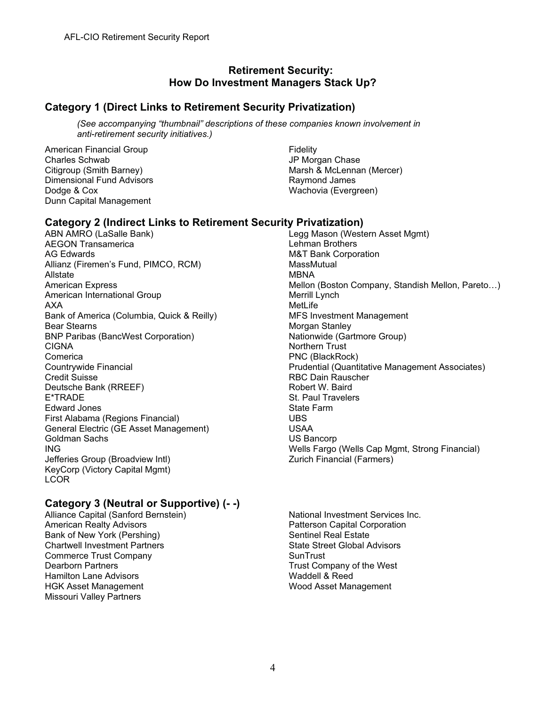#### **Retirement Security: How Do Investment Managers Stack Up?**

#### **Category 1 (Direct Links to Retirement Security Privatization)**

*(See accompanying "thumbnail" descriptions of these companies known involvement in anti-retirement security initiatives.)* 

American Financial Group Charles Schwab Citigroup (Smith Barney) Dimensional Fund Advisors Dodge & Cox Dunn Capital Management

Fidelity JP Morgan Chase Marsh & McLennan (Mercer) Raymond James Wachovia (Evergreen)

#### **Category 2 (Indirect Links to Retirement Security Privatization)**

ABN AMRO (LaSalle Bank) AEGON Transamerica AG Edwards Allianz (Firemen's Fund, PIMCO, RCM) Allstate American Express American International Group AXA Bank of America (Columbia, Quick & Reilly) Bear Stearns BNP Paribas (BancWest Corporation) CIGNA Comerica Countrywide Financial Credit Suisse Deutsche Bank (RREEF) E\*TRADE Edward Jones First Alabama (Regions Financial) General Electric (GE Asset Management) Goldman Sachs ING Jefferies Group (Broadview Intl) KeyCorp (Victory Capital Mgmt) **LCOR** 

### **Category 3 (Neutral or Supportive) (- -)**

Alliance Capital (Sanford Bernstein) American Realty Advisors Bank of New York (Pershing) Chartwell Investment Partners Commerce Trust Company Dearborn Partners Hamilton Lane Advisors HGK Asset Management Missouri Valley Partners

Legg Mason (Western Asset Mgmt) Lehman Brothers M&T Bank Corporation **MassMutual** MBNA Mellon (Boston Company, Standish Mellon, Pareto…) Merrill Lynch MetLife MFS Investment Management Morgan Stanley Nationwide (Gartmore Group) Northern Trust PNC (BlackRock) Prudential (Quantitative Management Associates) RBC Dain Rauscher Robert W. Baird St. Paul Travelers State Farm UBS USAA US Bancorp Wells Fargo (Wells Cap Mgmt, Strong Financial) Zurich Financial (Farmers)

National Investment Services Inc. Patterson Capital Corporation Sentinel Real Estate State Street Global Advisors **SunTrust** Trust Company of the West Waddell & Reed Wood Asset Management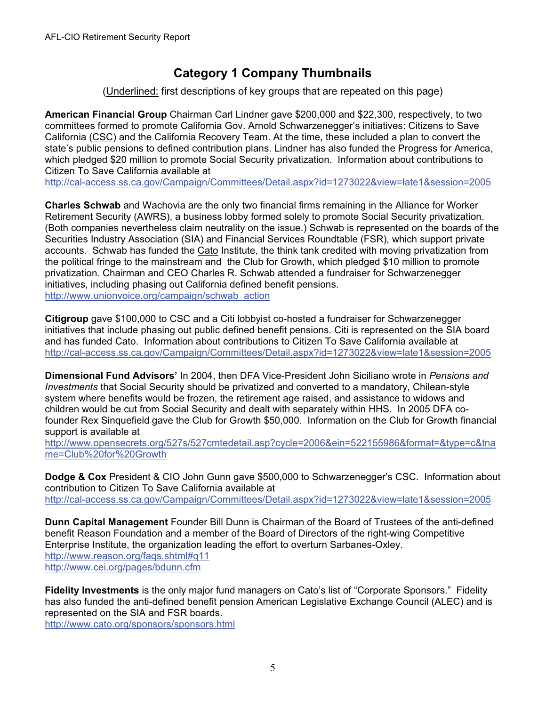### **Category 1 Company Thumbnails**

(Underlined: first descriptions of key groups that are repeated on this page)

**American Financial Group** Chairman Carl Lindner gave \$200,000 and \$22,300, respectively, to two committees formed to promote California Gov. Arnold Schwarzenegger's initiatives: Citizens to Save California (CSC) and the California Recovery Team. At the time, these included a plan to convert the state's public pensions to defined contribution plans. Lindner has also funded the Progress for America, which pledged \$20 million to promote Social Security privatization. Information about contributions to Citizen To Save California available at

http://cal-access.ss.ca.gov/Campaign/Committees/Detail.aspx?id=1273022&view=late1&session=2005

**Charles Schwab** and Wachovia are the only two financial firms remaining in the Alliance for Worker Retirement Security (AWRS), a business lobby formed solely to promote Social Security privatization. (Both companies nevertheless claim neutrality on the issue.) Schwab is represented on the boards of the Securities Industry Association (SIA) and Financial Services Roundtable (FSR), which support private accounts. Schwab has funded the Cato Institute, the think tank credited with moving privatization from the political fringe to the mainstream and the Club for Growth, which pledged \$10 million to promote privatization. Chairman and CEO Charles R. Schwab attended a fundraiser for Schwarzenegger initiatives, including phasing out California defined benefit pensions. http://www.unionvoice.org/campaign/schwab\_action

**Citigroup** gave \$100,000 to CSC and a Citi lobbyist co-hosted a fundraiser for Schwarzenegger initiatives that include phasing out public defined benefit pensions. Citi is represented on the SIA board and has funded Cato. Information about contributions to Citizen To Save California available at http://cal-access.ss.ca.gov/Campaign/Committees/Detail.aspx?id=1273022&view=late1&session=2005

**Dimensional Fund Advisors'** In 2004, then DFA Vice-President John Siciliano wrote in *Pensions and Investments* that Social Security should be privatized and converted to a mandatory, Chilean-style system where benefits would be frozen, the retirement age raised, and assistance to widows and children would be cut from Social Security and dealt with separately within HHS. In 2005 DFA cofounder Rex Sinquefield gave the Club for Growth \$50,000. Information on the Club for Growth financial support is available at

http://www.opensecrets.org/527s/527cmtedetail.asp?cycle=2006&ein=522155986&format=&type=c&tna me=Club%20for%20Growth

**Dodge & Cox** President & CIO John Gunn gave \$500,000 to Schwarzenegger's CSC. Information about contribution to Citizen To Save California available at http://cal-access.ss.ca.gov/Campaign/Committees/Detail.aspx?id=1273022&view=late1&session=2005

**Dunn Capital Management** Founder Bill Dunn is Chairman of the Board of Trustees of the anti-defined benefit Reason Foundation and a member of the Board of Directors of the right-wing Competitive Enterprise Institute, the organization leading the effort to overturn Sarbanes-Oxley. http://www.reason.org/faqs.shtml#q11 http://www.cei.org/pages/bdunn.cfm

**Fidelity Investments** is the only major fund managers on Cato's list of "Corporate Sponsors." Fidelity has also funded the anti-defined benefit pension American Legislative Exchange Council (ALEC) and is represented on the SIA and FSR boards.

http://www.cato.org/sponsors/sponsors.html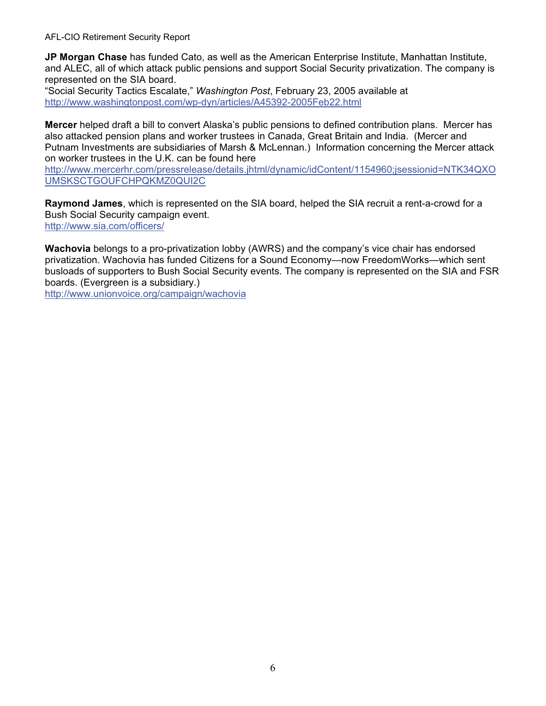AFL-CIO Retirement Security Report

**JP Morgan Chase** has funded Cato, as well as the American Enterprise Institute, Manhattan Institute, and ALEC, all of which attack public pensions and support Social Security privatization. The company is represented on the SIA board.

"Social Security Tactics Escalate," *Washington Post*, February 23, 2005 available at http://www.washingtonpost.com/wp-dyn/articles/A45392-2005Feb22.html

**Mercer** helped draft a bill to convert Alaska's public pensions to defined contribution plans. Mercer has also attacked pension plans and worker trustees in Canada, Great Britain and India. (Mercer and Putnam Investments are subsidiaries of Marsh & McLennan.) Information concerning the Mercer attack on worker trustees in the U.K. can be found here

http://www.mercerhr.com/pressrelease/details.jhtml/dynamic/idContent/1154960;jsessionid=NTK34QXO UMSKSCTGOUFCHPQKMZ0QUI2C

**Raymond James**, which is represented on the SIA board, helped the SIA recruit a rent-a-crowd for a Bush Social Security campaign event. http://www.sia.com/officers/

**Wachovia** belongs to a pro-privatization lobby (AWRS) and the company's vice chair has endorsed privatization. Wachovia has funded Citizens for a Sound Economy—now FreedomWorks—which sent busloads of supporters to Bush Social Security events. The company is represented on the SIA and FSR boards. (Evergreen is a subsidiary.)

http://www.unionvoice.org/campaign/wachovia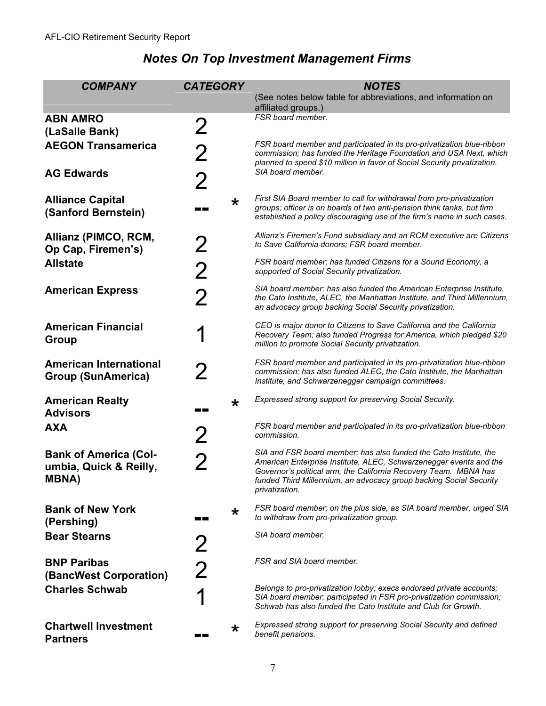| <b>COMPANY</b>                                                          | <b>CATEGORY</b>                |         | <b>NOTES</b>                                                                                                                                                                                                                                                                                               |
|-------------------------------------------------------------------------|--------------------------------|---------|------------------------------------------------------------------------------------------------------------------------------------------------------------------------------------------------------------------------------------------------------------------------------------------------------------|
|                                                                         |                                |         | (See notes below table for abbreviations, and information on<br>affiliated groups.)                                                                                                                                                                                                                        |
| <b>ABN AMRO</b><br>(LaSalle Bank)                                       | $\overline{2}$                 |         | FSR board member.                                                                                                                                                                                                                                                                                          |
| <b>AEGON Transamerica</b>                                               | $\mathbf 2$                    |         | FSR board member and participated in its pro-privatization blue-ribbon<br>commission; has funded the Heritage Foundation and USA Next, which<br>planned to spend \$10 million in favor of Social Security privatization.                                                                                   |
| <b>AG Edwards</b>                                                       | $\overline{2}$                 |         | SIA board member.                                                                                                                                                                                                                                                                                          |
| <b>Alliance Capital</b><br>(Sanford Bernstein)                          |                                | $\star$ | First SIA Board member to call for withdrawal from pro-privatization<br>groups; officer is on boards of two anti-pension think tanks, but firm<br>established a policy discouraging use of the firm's name in such cases.                                                                                  |
| Allianz (PIMCO, RCM,<br>Op Cap, Firemen's)                              | 2                              |         | Allianz's Firemen's Fund subsidiary and an RCM executive are Citizens<br>to Save California donors; FSR board member.                                                                                                                                                                                      |
| <b>Allstate</b>                                                         | <b>2</b>                       |         | FSR board member; has funded Citizens for a Sound Economy, a<br>supported of Social Security privatization.                                                                                                                                                                                                |
| <b>American Express</b>                                                 | $\overline{2}$                 |         | SIA board member; has also funded the American Enterprise Institute,<br>the Cato Institute, ALEC, the Manhattan Institute, and Third Millennium,<br>an advocacy group backing Social Security privatization.                                                                                               |
| <b>American Financial</b><br><b>Group</b>                               |                                |         | CEO is major donor to Citizens to Save California and the California<br>Recovery Team; also funded Progress for America, which pledged \$20<br>million to promote Social Security privatization.                                                                                                           |
| <b>American International</b><br><b>Group (SunAmerica)</b>              | $\boldsymbol{Z}$               |         | FSR board member and participated in its pro-privatization blue-ribbon<br>commission; has also funded ALEC, the Cato Institute, the Manhattan<br>Institute, and Schwarzenegger campaign committees.                                                                                                        |
| <b>American Realty</b><br><b>Advisors</b>                               | <b>The Contract of Service</b> | $\star$ | Expressed strong support for preserving Social Security.                                                                                                                                                                                                                                                   |
| <b>AXA</b>                                                              | $\mathbf 2$                    |         | FSR board member and participated in its pro-privatization blue-ribbon<br>commission.                                                                                                                                                                                                                      |
| <b>Bank of America (Col-</b><br>umbia, Quick & Reilly,<br><b>MBNA</b> ) | 2                              |         | SIA and FSR board member; has also funded the Cato Institute, the<br>American Enterprise Institute, ALEC, Schwarzenegger events and the<br>Governor's political arm, the California Recovery Team. MBNA has<br>funded Third Millennium, an advocacy group backing Social Security<br><i>privatization.</i> |
| <b>Bank of New York</b><br>(Pershing)                                   |                                | $\star$ | FSR board member; on the plus side, as SIA board member, urged SIA<br>to withdraw from pro-privatization group.                                                                                                                                                                                            |
| <b>Bear Stearns</b>                                                     | 2                              |         | SIA board member.                                                                                                                                                                                                                                                                                          |
| <b>BNP Paribas</b><br>(BancWest Corporation)                            | 2                              |         | FSR and SIA board member.                                                                                                                                                                                                                                                                                  |
| <b>Charles Schwab</b>                                                   |                                |         | Belongs to pro-privatization lobby; execs endorsed private accounts;<br>SIA board member; participated in FSR pro-privatization commission;<br>Schwab has also funded the Cato Institute and Club for Growth.                                                                                              |
| <b>Chartwell Investment</b><br><b>Partners</b>                          |                                | $\star$ | Expressed strong support for preserving Social Security and defined<br>benefit pensions.                                                                                                                                                                                                                   |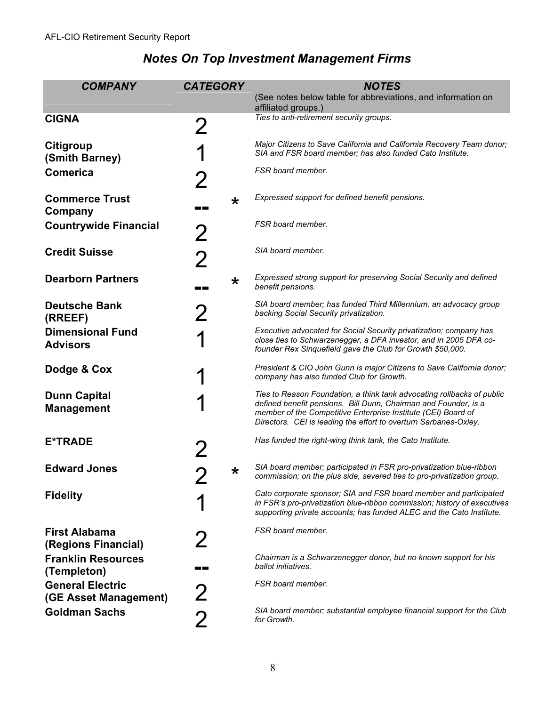| <b>COMPANY</b>                                   | <b>CATEGORY</b> |  | <b>NOTES</b>                                                                                                                                                                                                                                                                   |
|--------------------------------------------------|-----------------|--|--------------------------------------------------------------------------------------------------------------------------------------------------------------------------------------------------------------------------------------------------------------------------------|
|                                                  |                 |  | (See notes below table for abbreviations, and information on                                                                                                                                                                                                                   |
|                                                  |                 |  | affiliated groups.)<br>Ties to anti-retirement security groups.                                                                                                                                                                                                                |
| <b>CIGNA</b>                                     | 2               |  |                                                                                                                                                                                                                                                                                |
| Citigroup<br>(Smith Barney)                      |                 |  | Major Citizens to Save California and California Recovery Team donor;<br>SIA and FSR board member; has also funded Cato Institute.                                                                                                                                             |
| <b>Comerica</b>                                  | 2               |  | FSR board member.                                                                                                                                                                                                                                                              |
| <b>Commerce Trust</b><br>Company                 | $\star$<br>m m  |  | Expressed support for defined benefit pensions.                                                                                                                                                                                                                                |
| <b>Countrywide Financial</b>                     | 2               |  | FSR board member.                                                                                                                                                                                                                                                              |
| <b>Credit Suisse</b>                             | $\overline{2}$  |  | SIA board member.                                                                                                                                                                                                                                                              |
| <b>Dearborn Partners</b>                         | $\star$         |  | Expressed strong support for preserving Social Security and defined<br>benefit pensions.                                                                                                                                                                                       |
| <b>Deutsche Bank</b><br>(RREEF)                  | 2               |  | SIA board member; has funded Third Millennium, an advocacy group<br>backing Social Security privatization.                                                                                                                                                                     |
| <b>Dimensional Fund</b><br><b>Advisors</b>       |                 |  | Executive advocated for Social Security privatization; company has<br>close ties to Schwarzenegger, a DFA investor, and in 2005 DFA co-<br>founder Rex Sinquefield gave the Club for Growth \$50,000.                                                                          |
| Dodge & Cox                                      |                 |  | President & CIO John Gunn is major Citizens to Save California donor;<br>company has also funded Club for Growth.                                                                                                                                                              |
| <b>Dunn Capital</b><br><b>Management</b>         |                 |  | Ties to Reason Foundation, a think tank advocating rollbacks of public<br>defined benefit pensions. Bill Dunn, Chairman and Founder, is a<br>member of the Competitive Enterprise Institute (CEI) Board of<br>Directors. CEI is leading the effort to overturn Sarbanes-Oxley. |
| <b>E*TRADE</b>                                   |                 |  | Has funded the right-wing think tank, the Cato Institute.                                                                                                                                                                                                                      |
| <b>Edward Jones</b>                              | $\star$         |  | SIA board member; participated in FSR pro-privatization blue-ribbon<br>commission; on the plus side, severed ties to pro-privatization group.                                                                                                                                  |
| <b>Fidelity</b>                                  |                 |  | Cato corporate sponsor; SIA and FSR board member and participated<br>in FSR's pro-privatization blue-ribbon commission; history of executives<br>supporting private accounts; has funded ALEC and the Cato Institute.                                                          |
| <b>First Alabama</b><br>(Regions Financial)      |                 |  | FSR board member.                                                                                                                                                                                                                                                              |
| <b>Franklin Resources</b><br>(Templeton)         |                 |  | Chairman is a Schwarzenegger donor, but no known support for his<br>ballot initiatives.                                                                                                                                                                                        |
| <b>General Electric</b><br>(GE Asset Management) | 2               |  | FSR board member.                                                                                                                                                                                                                                                              |
| <b>Goldman Sachs</b>                             | $\overline{2}$  |  | SIA board member; substantial employee financial support for the Club<br>for Growth.                                                                                                                                                                                           |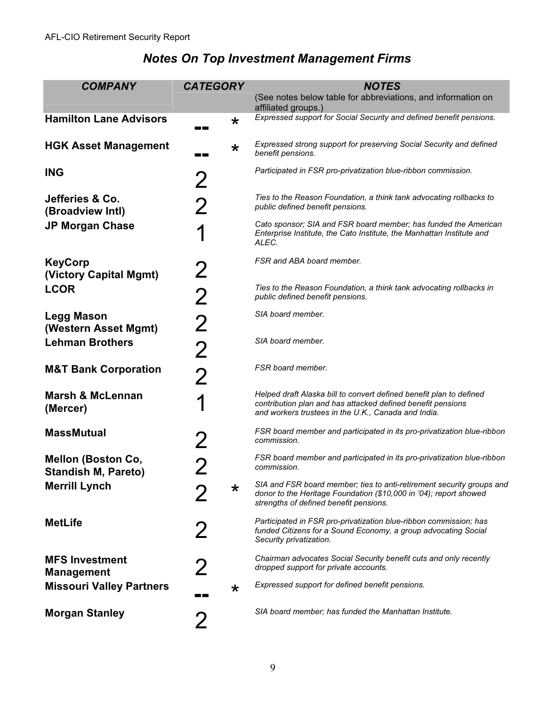| <b>COMPANY</b>                                          | <b>CATEGORY</b>                                                                                                           | <b>NOTES</b>                                                                                                                                                                              |
|---------------------------------------------------------|---------------------------------------------------------------------------------------------------------------------------|-------------------------------------------------------------------------------------------------------------------------------------------------------------------------------------------|
|                                                         |                                                                                                                           | (See notes below table for abbreviations, and information on<br>affiliated groups.)                                                                                                       |
| <b>Hamilton Lane Advisors</b>                           | $\star$                                                                                                                   | Expressed support for Social Security and defined benefit pensions.                                                                                                                       |
| <b>HGK Asset Management</b>                             | $\star$<br>a kacamatan ing Kabupatèn Kabupatèn Kabupatèn Kabupatèn Kabupatèn Kabupatèn Kabupatèn Kabupatèn Kabupatèn Kabu | Expressed strong support for preserving Social Security and defined<br>benefit pensions.                                                                                                  |
| <b>ING</b>                                              | 2                                                                                                                         | Participated in FSR pro-privatization blue-ribbon commission.                                                                                                                             |
| Jefferies & Co.<br>(Broadview Intl)                     | 2                                                                                                                         | Ties to the Reason Foundation, a think tank advocating rollbacks to<br>public defined benefit pensions.                                                                                   |
| <b>JP Morgan Chase</b>                                  |                                                                                                                           | Cato sponsor; SIA and FSR board member; has funded the American<br>Enterprise Institute, the Cato Institute, the Manhattan Institute and<br>ALEC.                                         |
| <b>KeyCorp</b><br>(Victory Capital Mgmt)                | 2                                                                                                                         | FSR and ABA board member.                                                                                                                                                                 |
| <b>LCOR</b>                                             | $\overline{2}$                                                                                                            | Ties to the Reason Foundation, a think tank advocating rollbacks in<br>public defined benefit pensions.                                                                                   |
| <b>Legg Mason</b><br>(Western Asset Mgmt)               | $\overline{2}$                                                                                                            | SIA board member.                                                                                                                                                                         |
| <b>Lehman Brothers</b>                                  | $\overline{2}$                                                                                                            | SIA board member.                                                                                                                                                                         |
| <b>M&amp;T Bank Corporation</b>                         | $\overline{2}$                                                                                                            | FSR board member.                                                                                                                                                                         |
| <b>Marsh &amp; McLennan</b><br>(Mercer)                 |                                                                                                                           | Helped draft Alaska bill to convert defined benefit plan to defined<br>contribution plan and has attacked defined benefit pensions<br>and workers trustees in the U.K., Canada and India. |
| <b>MassMutual</b>                                       | 2                                                                                                                         | FSR board member and participated in its pro-privatization blue-ribbon<br>commission.                                                                                                     |
| <b>Mellon (Boston Co,</b><br><b>Standish M, Pareto)</b> |                                                                                                                           | FSR board member and participated in its pro-privatization blue-ribbon<br>commission.                                                                                                     |
| <b>Merrill Lynch</b>                                    | $\star$                                                                                                                   | SIA and FSR board member; ties to anti-retirement security groups and<br>donor to the Heritage Foundation (\$10,000 in '04); report showed<br>strengths of defined benefit pensions.      |
| <b>MetLife</b>                                          | $\boldsymbol{Z}$                                                                                                          | Participated in FSR pro-privatization blue-ribbon commission; has<br>funded Citizens for a Sound Economy, a group advocating Social<br>Security privatization.                            |
| <b>MFS Investment</b><br><b>Management</b>              | $\boldsymbol{Z}$                                                                                                          | Chairman advocates Social Security benefit cuts and only recently<br>dropped support for private accounts.                                                                                |
| <b>Missouri Valley Partners</b>                         | $\star$                                                                                                                   | Expressed support for defined benefit pensions.                                                                                                                                           |
| <b>Morgan Stanley</b>                                   | 2                                                                                                                         | SIA board member; has funded the Manhattan Institute.                                                                                                                                     |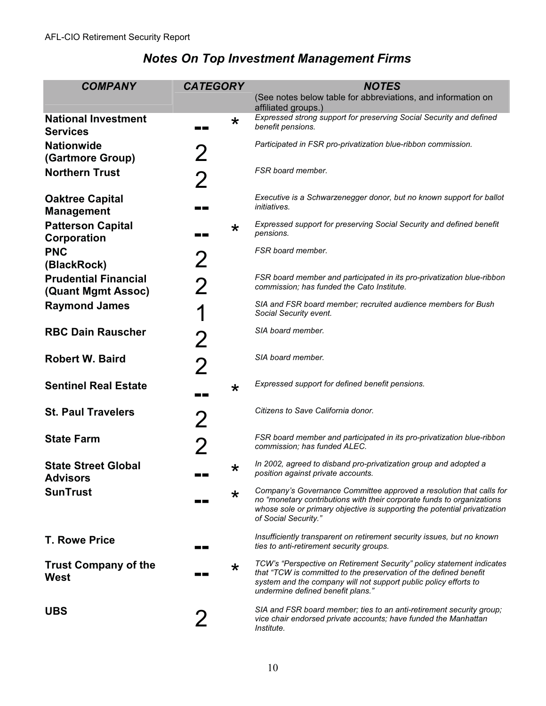| <b>COMPANY</b>                                    | <b>CATEGORY</b>       | <b>NOTES</b>                                                                                                                                                                                                                                        |
|---------------------------------------------------|-----------------------|-----------------------------------------------------------------------------------------------------------------------------------------------------------------------------------------------------------------------------------------------------|
|                                                   |                       | (See notes below table for abbreviations, and information on<br>affiliated groups.)                                                                                                                                                                 |
| <b>National Investment</b><br><b>Services</b>     | $\star$<br>a sa sa    | Expressed strong support for preserving Social Security and defined<br>benefit pensions.                                                                                                                                                            |
| <b>Nationwide</b><br>(Gartmore Group)             | 2                     | Participated in FSR pro-privatization blue-ribbon commission.                                                                                                                                                                                       |
| <b>Northern Trust</b>                             | 2                     | FSR board member.                                                                                                                                                                                                                                   |
| <b>Oaktree Capital</b><br><b>Management</b>       | - 1 - 1 - 1           | Executive is a Schwarzenegger donor, but no known support for ballot<br><i>initiatives.</i>                                                                                                                                                         |
| <b>Patterson Capital</b><br>Corporation           | $\star$<br>m m        | Expressed support for preserving Social Security and defined benefit<br>pensions.                                                                                                                                                                   |
| <b>PNC</b><br>(BlackRock)                         | 2                     | FSR board member.                                                                                                                                                                                                                                   |
| <b>Prudential Financial</b><br>(Quant Mgmt Assoc) | 2                     | FSR board member and participated in its pro-privatization blue-ribbon<br>commission; has funded the Cato Institute.                                                                                                                                |
| <b>Raymond James</b>                              |                       | SIA and FSR board member; recruited audience members for Bush<br>Social Security event.                                                                                                                                                             |
| <b>RBC Dain Rauscher</b>                          | 2                     | SIA board member.                                                                                                                                                                                                                                   |
| <b>Robert W. Baird</b>                            | 2                     | SIA board member.                                                                                                                                                                                                                                   |
| <b>Sentinel Real Estate</b>                       | $\star$<br>a provinci | Expressed support for defined benefit pensions.                                                                                                                                                                                                     |
| <b>St. Paul Travelers</b>                         | 2                     | Citizens to Save California donor.                                                                                                                                                                                                                  |
| <b>State Farm</b>                                 | 2                     | FSR board member and participated in its pro-privatization blue-ribbon<br>commission; has funded ALEC.                                                                                                                                              |
| <b>State Street Global</b><br><b>Advisors</b>     | $\star$               | In 2002, agreed to disband pro-privatization group and adopted a<br>position against private accounts.                                                                                                                                              |
| <b>SunTrust</b>                                   | $\star$               | Company's Governance Committee approved a resolution that calls for<br>no "monetary contributions with their corporate funds to organizations<br>whose sole or primary objective is supporting the potential privatization<br>of Social Security."  |
| <b>T. Rowe Price</b>                              | a di Ba               | Insufficiently transparent on retirement security issues, but no known<br>ties to anti-retirement security groups.                                                                                                                                  |
| <b>Trust Company of the</b><br>West               | $\star$               | TCW's "Perspective on Retirement Security" policy statement indicates<br>that "TCW is committed to the preservation of the defined benefit<br>system and the company will not support public policy efforts to<br>undermine defined benefit plans." |
| <b>UBS</b>                                        | $\boldsymbol{2}$      | SIA and FSR board member; ties to an anti-retirement security group;<br>vice chair endorsed private accounts; have funded the Manhattan<br>Institute.                                                                                               |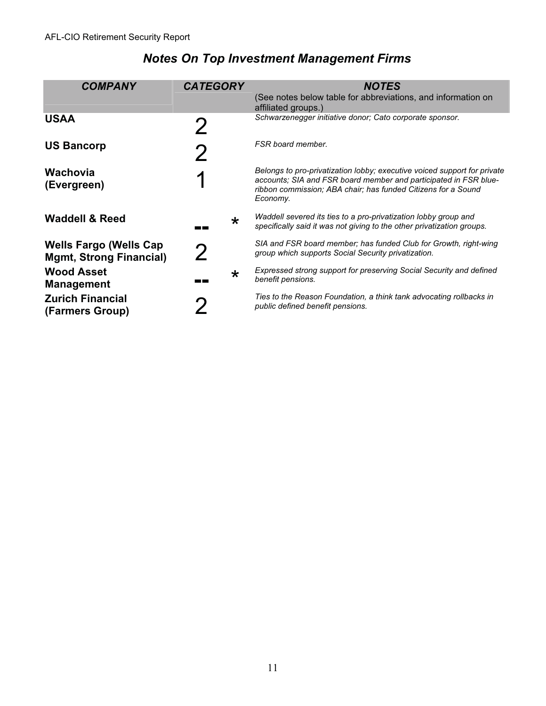| <b>COMPANY</b>                                                  | <b>CATEGORY</b>                                | <b>NOTES</b>                                                                                                                                                                                                              |
|-----------------------------------------------------------------|------------------------------------------------|---------------------------------------------------------------------------------------------------------------------------------------------------------------------------------------------------------------------------|
|                                                                 |                                                | (See notes below table for abbreviations, and information on<br>affiliated groups.)                                                                                                                                       |
| <b>USAA</b>                                                     |                                                | Schwarzenegger initiative donor; Cato corporate sponsor.                                                                                                                                                                  |
| <b>US Bancorp</b>                                               |                                                | FSR board member.                                                                                                                                                                                                         |
| Wachovia<br>(Evergreen)                                         |                                                | Belongs to pro-privatization lobby; executive voiced support for private<br>accounts; SIA and FSR board member and participated in FSR blue-<br>ribbon commission; ABA chair; has funded Citizens for a Sound<br>Economy. |
| <b>Waddell &amp; Reed</b>                                       | $\star$<br>a kacamatan ing Kabupatèn Kabupatèn | Waddell severed its ties to a pro-privatization lobby group and<br>specifically said it was not giving to the other privatization groups.                                                                                 |
| <b>Wells Fargo (Wells Cap</b><br><b>Mgmt, Strong Financial)</b> | $\boldsymbol{\mathcal{V}}$                     | SIA and FSR board member; has funded Club for Growth, right-wing<br>group which supports Social Security privatization.                                                                                                   |
| <b>Wood Asset</b><br><b>Management</b>                          | $\star$                                        | Expressed strong support for preserving Social Security and defined<br>benefit pensions.                                                                                                                                  |
| <b>Zurich Financial</b><br>(Farmers Group)                      |                                                | Ties to the Reason Foundation, a think tank advocating rollbacks in<br>public defined benefit pensions.                                                                                                                   |